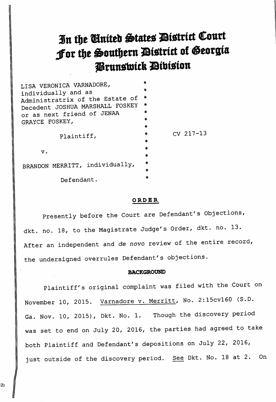# In the United States District Court Jor the Southern District of Georgia Prunswick Division

| LISA VERONICA VARNADORE,<br>individually and as<br>Administratrix of the Estate of<br>Decedent JOSHUA MARSHALL FOSKEY<br>or as next friend of JENAA<br>GRAYCE FOSKEY, | $\ast$<br>* |               |
|-----------------------------------------------------------------------------------------------------------------------------------------------------------------------|-------------|---------------|
|                                                                                                                                                                       | 米           |               |
|                                                                                                                                                                       | $\ast$      |               |
|                                                                                                                                                                       | *           |               |
|                                                                                                                                                                       | ×           |               |
| Plaintiff,                                                                                                                                                            | 米           |               |
|                                                                                                                                                                       | 米           | $CV 217 - 13$ |
|                                                                                                                                                                       | $\star$     |               |
| v.                                                                                                                                                                    | $\ast$      |               |
|                                                                                                                                                                       | 宗<br>$\ast$ |               |
| BRANDON MERRITT, individually,                                                                                                                                        | *           |               |
|                                                                                                                                                                       | sk:         |               |
| Defendant.                                                                                                                                                            |             |               |

### ORDER

Presently before the Court are Defendant's Objections, dkt. no. 18, to the Magistrate Judge's Order, dkt. no. 13. After an independent and de novo review of the entire record, the undersigned overrules Defendant's objections.

# BACKGROUND

Plaintiff's original complaint was filed with the Court on November 10, 2015. Varnadore v. Merritt, No. 2:15cv160 (S.D. Ga. Nov. 10, 2015), Dkt. No. 1. Though the discovery period was set to end on July 20, 2016, the parties had agreed to take both Plaintiff and Defendant's depositions on July 22, 2016, just outside of the discovery period. See Dkt. No. 18 at 2. On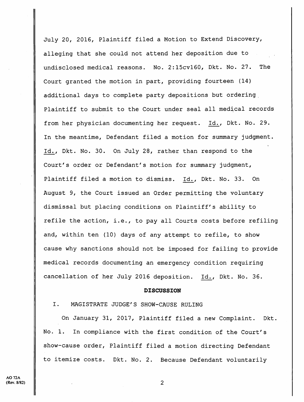July 20, 2016, Plaintiff filed <sup>a</sup> Motion to Extend Discovery, alleging that she could not attend her deposition due to undisclosed medical reasons. No. 2:15cvl60, Dkt. No. 27. The Court granted the motion in part, providing fourteen (14) additional days to complete party depositions but ordering, Plaintiff to submit to the Court under seal all medical records from her physician documenting her request. Id., Dkt. No. 29. In the meantime, Defendant filed a motion for summary judgment. Id., Dkt. No. 30. On July 28, rather than respond to the Court's order or Defendant's motion for summary judgment. Plaintiff filed <sup>a</sup> motion to dismiss. Id., Dkt. No. 33. On August 9, the Court issued an Order permitting the voluntary dismissal but placing conditions on Plaintiff's ability to refile the action, i.e., to pay all Courts costs before refiling and, within ten (10) days of any attempt to refile, to show cause why sanctions should not be imposed for failing to provide medical records documenting an emergency condition requiring cancellation of her July 2016 deposition. Id., Dkt. No. 36.

#### DISCUSSION

# I. MAGISTRATE JUDGE'S SHOW-CAUSE RULING

On January 31, 2017, Plaintiff filed <sup>a</sup> new Complaint. Dkt. No. 1. In compliance with the first condition of the Court's show-cause order. Plaintiff filed <sup>a</sup> motion directing Defendant to itemize costs. Dkt. No. 2. Because Defendant voluntarily

 $\overline{2}$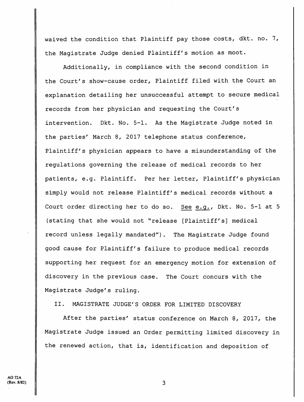waived the condition that Plaintiff pay those costs, dkt. no. 7, the Magistrate Judge denied Plaintiff's motion as moot.

Additionally, in compliance with the second condition in the Court's show-cause order. Plaintiff filed with the Court an explanation detailing her unsuccessful attempt to secure medical records from her physician and requesting the Court's intervention. Dkt. No. 5-1. As the Magistrate Judge noted in the parties' March 8, 2017 telephone status conference. Plaintiff's physician appears to have a misunderstanding of the regulations governing the release of medical records to her patients, e.g. Plaintiff. Per her letter, Plaintiff's physician simply would not release Plaintiff's medical records without a Court order directing her to do so. See e.g., Dkt. No. 5-1 at <sup>5</sup> (stating that she would not "release [Plaintiff's] medical record unless legally mandated"). The Magistrate Judge found good cause for Plaintiff's failure to produce medical records supporting her request for an emergency motion for extension of discovery in the previous case. The Court concurs with the Magistrate Judge's ruling.

II. MAGISTRATE JUDGE'S ORDER FOR LIMITED DISCOVERY

After the parties' status conference on March 8, 2017, the Magistrate Judge issued an Order permitting limited discovery in the renewed action, that is, identification and deposition of

3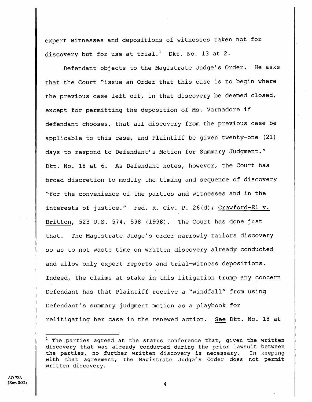expert witnesses and depositions of witnesses taken not for discovery but for use at trial.<sup>1</sup> Dkt. No. 13 at 2.

Defendant objects to the Magistrate Judge's Order. He asks that the Court "issue an Order that this case is to begin where the previous case left off, in that discovery be deemed closed, except for permitting the deposition of Ms. Varnadore if defendant chooses, that all discovery from the previous case be applicable to this case, and Plaintiff be given twenty-one (21) days to respond to Defendant's Motion for Summary Judgment." Dkt. No. 18 at 6. As Defendant notes, however, the Court has broad discretion to modify the timing and sequence of discovery ^^for the convenience of the parties and witnesses and in the interests of justice." Fed. R. Civ. P. 26(d); Crawford-El v. Britton, 523 U.S. 574, 598 (1998). The Court has done just that. The Magistrate Judge's order narrowly tailors discovery so as to not waste time on written discovery already conducted and allow only expert reports and trial—witness depositions. Indeed, the claims at stake in this litigation trump any concern Defendant has that Plaintiff receive a "windfall" from using Defendant's summary judgment motion as <sup>a</sup> playbook for relitigating her case in the renewed action. See Dkt. No. 18 at

4

 $1$  The parties agreed at the status conference that, given the written discovery that was already conducted during the prior lawsuit between the parties, no further written discovery is necessary. In keeping with that agreement, the Magistrate Judge's Order does not permit written discovery.